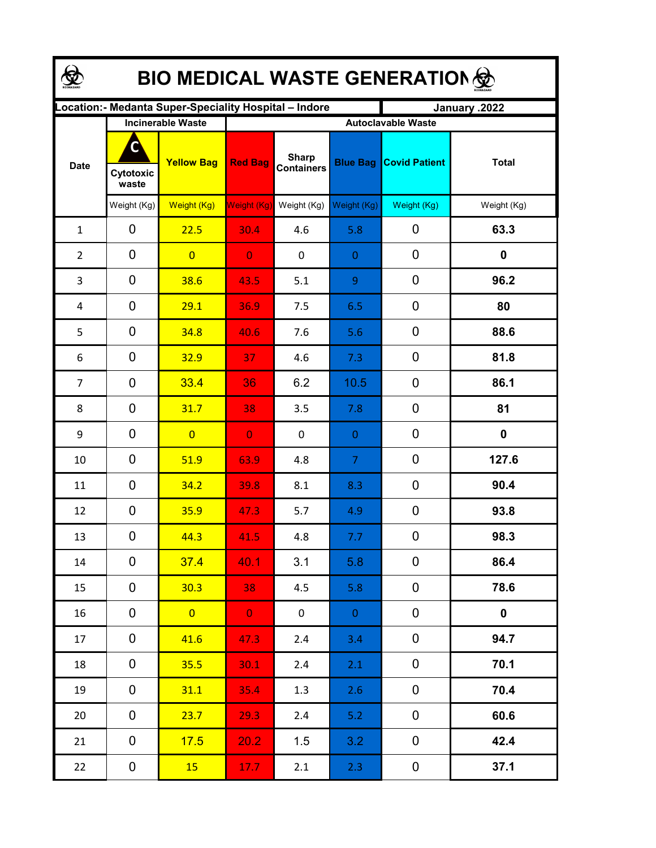| <b>BIO MEDICAL WASTE GENERATION </b> |                          |                                                       |                |                                   |                 |                           |              |  |  |  |
|--------------------------------------|--------------------------|-------------------------------------------------------|----------------|-----------------------------------|-----------------|---------------------------|--------------|--|--|--|
|                                      |                          | ocation: - Medanta Super-Speciality Hospital - Indore |                |                                   |                 | January .2022             |              |  |  |  |
|                                      | <b>Incinerable Waste</b> |                                                       |                |                                   |                 | <b>Autoclavable Waste</b> |              |  |  |  |
| <b>Date</b>                          | C<br>Cytotoxic<br>waste  | <b>Yellow Bag</b>                                     | <b>Red Bag</b> | <b>Sharp</b><br><b>Containers</b> | <b>Blue Bag</b> | <b>Covid Patient</b>      | <b>Total</b> |  |  |  |
|                                      | Weight (Kg)              | Weight (Kg)                                           | Weight (Kg)    | Weight (Kg)                       | Weight (Kg)     | Weight (Kg)               | Weight (Kg)  |  |  |  |
| $\mathbf{1}$                         | 0                        | 22.5                                                  | 30.4           | 4.6                               | 5.8             | 0                         | 63.3         |  |  |  |
| 2                                    | 0                        | $\overline{0}$                                        | $\overline{0}$ | 0                                 | $\mathbf{0}$    | 0                         | $\mathbf 0$  |  |  |  |
| 3                                    | 0                        | 38.6                                                  | 43.5           | 5.1                               | 9               | $\mathbf 0$               | 96.2         |  |  |  |
| 4                                    | 0                        | 29.1                                                  | 36.9           | 7.5                               | 6.5             | $\boldsymbol{0}$          | 80           |  |  |  |
| 5                                    | 0                        | 34.8                                                  | 40.6           | 7.6                               | 5.6             | 0                         | 88.6         |  |  |  |
| 6                                    | 0                        | 32.9                                                  | 37             | 4.6                               | 7.3             | 0                         | 81.8         |  |  |  |
| 7                                    | 0                        | 33.4                                                  | 36             | 6.2                               | 10.5            | 0                         | 86.1         |  |  |  |
| 8                                    | 0                        | 31.7                                                  | 38             | 3.5                               | 7.8             | 0                         | 81           |  |  |  |
| 9                                    | 0                        | $\overline{0}$                                        | $\overline{0}$ | 0                                 | $\mathbf{0}$    | 0                         | $\mathbf 0$  |  |  |  |
| 10                                   | $\mathbf 0$              | 51.9                                                  | 63.9           | 4.8                               | $\overline{7}$  | 0                         | 127.6        |  |  |  |
| 11                                   | 0                        | 34.2                                                  | 39.8           | 8.1                               | 8.3             | $\mathbf 0$               | 90.4         |  |  |  |
| 12                                   | 0                        | 35.9                                                  | 47.3           | 5.7                               | 4.9             | 0                         | 93.8         |  |  |  |
| 13                                   | 0                        | 44.3                                                  | 41.5           | 4.8                               | 7.7             | 0                         | 98.3         |  |  |  |
| 14                                   | 0                        | 37.4                                                  | 40.1           | 3.1                               | 5.8             | 0                         | 86.4         |  |  |  |
| 15                                   | 0                        | 30.3                                                  | 38             | 4.5                               | 5.8             | 0                         | 78.6         |  |  |  |
| 16                                   | 0                        | $\overline{0}$                                        | $\mathbf{0}$   | $\mathbf 0$                       | $\overline{0}$  | $\mathbf 0$               | $\mathbf 0$  |  |  |  |
| 17                                   | 0                        | 41.6                                                  | 47.3           | 2.4                               | 3.4             | 0                         | 94.7         |  |  |  |
| 18                                   | 0                        | 35.5                                                  | 30.1           | 2.4                               | 2.1             | 0                         | 70.1         |  |  |  |
| 19                                   | 0                        | 31.1                                                  | 35.4           | 1.3                               | 2.6             | 0                         | 70.4         |  |  |  |
| 20                                   | 0                        | 23.7                                                  | 29.3           | 2.4                               | 5.2             | $\mathbf 0$               | 60.6         |  |  |  |
| 21                                   | 0                        | 17.5                                                  | 20.2           | 1.5                               | 3.2             | $\mathbf 0$               | 42.4         |  |  |  |
| 22                                   | $\mathbf 0$              | 15 <sub>2</sub>                                       | 17.7           | 2.1                               | 2.3             | $\boldsymbol{0}$          | 37.1         |  |  |  |